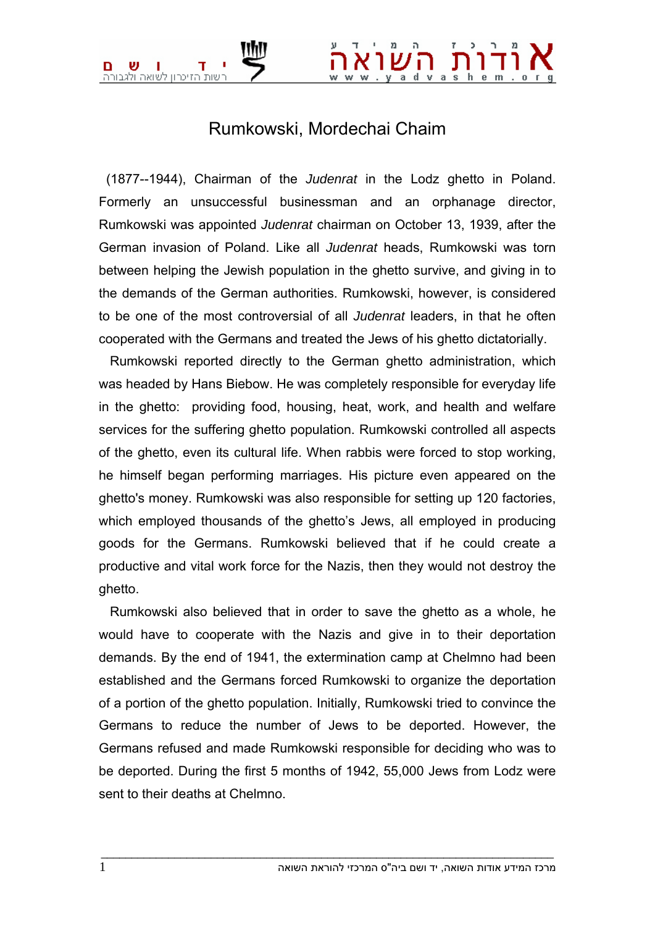## Rumkowski, Mordechai Chaim

 (1877--1944), Chairman of the *Judenrat* in the Lodz ghetto in Poland. Formerly an unsuccessful businessman and an orphanage director, Rumkowski was appointed *Judenrat* chairman on October 13, 1939, after the German invasion of Poland. Like all *Judenrat* heads, Rumkowski was torn between helping the Jewish population in the ghetto survive, and giving in to the demands of the German authorities. Rumkowski, however, is considered to be one of the most controversial of all *Judenrat* leaders, in that he often cooperated with the Germans and treated the Jews of his ghetto dictatorially.

 Rumkowski reported directly to the German ghetto administration, which was headed by Hans Biebow. He was completely responsible for everyday life in the ghetto: providing food, housing, heat, work, and health and welfare services for the suffering ghetto population. Rumkowski controlled all aspects of the ghetto, even its cultural life. When rabbis were forced to stop working, he himself began performing marriages. His picture even appeared on the ghetto's money. Rumkowski was also responsible for setting up 120 factories, which employed thousands of the ghetto's Jews, all employed in producing goods for the Germans. Rumkowski believed that if he could create a productive and vital work force for the Nazis, then they would not destroy the ghetto.

 Rumkowski also believed that in order to save the ghetto as a whole, he would have to cooperate with the Nazis and give in to their deportation demands. By the end of 1941, the extermination camp at Chelmno had been established and the Germans forced Rumkowski to organize the deportation of a portion of the ghetto population. Initially, Rumkowski tried to convince the Germans to reduce the number of Jews to be deported. However, the Germans refused and made Rumkowski responsible for deciding who was to be deported. During the first 5 months of 1942, 55,000 Jews from Lodz were sent to their deaths at Chelmno.

 $\bot$  , and the set of the set of the set of the set of the set of the set of the set of the set of the set of the set of the set of the set of the set of the set of the set of the set of the set of the set of the set of t